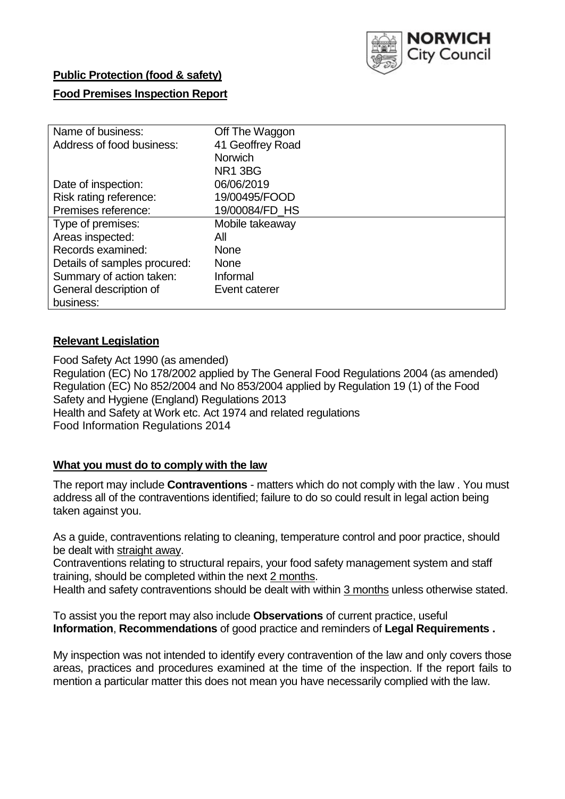

## **Public Protection (food & safety)**

## **Food Premises Inspection Report**

| Name of business:            | Off The Waggon      |
|------------------------------|---------------------|
| Address of food business:    | 41 Geoffrey Road    |
|                              | <b>Norwich</b>      |
|                              | NR <sub>1</sub> 3BG |
| Date of inspection:          | 06/06/2019          |
| Risk rating reference:       | 19/00495/FOOD       |
| Premises reference:          | 19/00084/FD HS      |
| Type of premises:            | Mobile takeaway     |
| Areas inspected:             | All                 |
| Records examined:            | <b>None</b>         |
| Details of samples procured: | <b>None</b>         |
| Summary of action taken:     | Informal            |
| General description of       | Event caterer       |
| business:                    |                     |

### **Relevant Legislation**

Food Safety Act 1990 (as amended) Regulation (EC) No 178/2002 applied by The General Food Regulations 2004 (as amended) Regulation (EC) No 852/2004 and No 853/2004 applied by Regulation 19 (1) of the Food Safety and Hygiene (England) Regulations 2013 Health and Safety at Work etc. Act 1974 and related regulations Food Information Regulations 2014

## **What you must do to comply with the law**

The report may include **Contraventions** - matters which do not comply with the law . You must address all of the contraventions identified; failure to do so could result in legal action being taken against you.

As a guide, contraventions relating to cleaning, temperature control and poor practice, should be dealt with straight away.

Contraventions relating to structural repairs, your food safety management system and staff training, should be completed within the next 2 months.

Health and safety contraventions should be dealt with within 3 months unless otherwise stated.

To assist you the report may also include **Observations** of current practice, useful **Information**, **Recommendations** of good practice and reminders of **Legal Requirements .**

My inspection was not intended to identify every contravention of the law and only covers those areas, practices and procedures examined at the time of the inspection. If the report fails to mention a particular matter this does not mean you have necessarily complied with the law.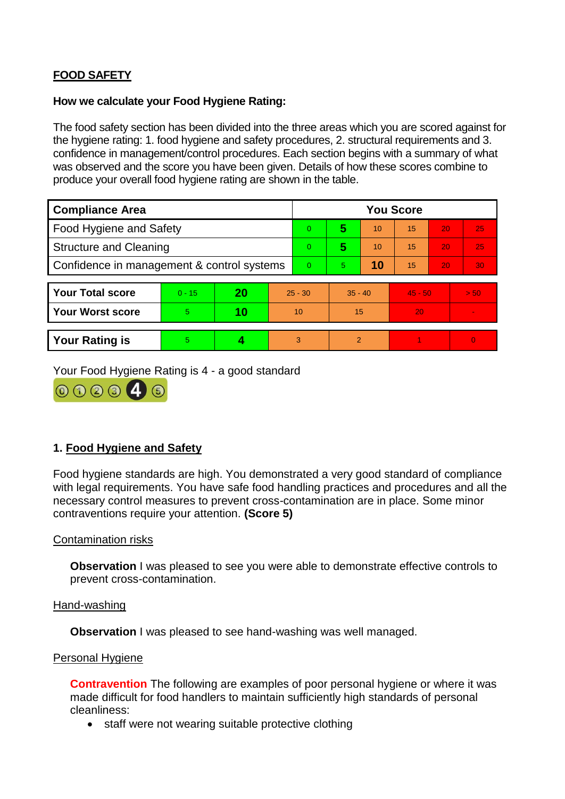# **FOOD SAFETY**

#### **How we calculate your Food Hygiene Rating:**

The food safety section has been divided into the three areas which you are scored against for the hygiene rating: 1. food hygiene and safety procedures, 2. structural requirements and 3. confidence in management/control procedures. Each section begins with a summary of what was observed and the score you have been given. Details of how these scores combine to produce your overall food hygiene rating are shown in the table.

| <b>Compliance Area</b>                     |          |    |    | <b>You Score</b> |                |    |           |    |                |  |  |
|--------------------------------------------|----------|----|----|------------------|----------------|----|-----------|----|----------------|--|--|
| Food Hygiene and Safety                    |          |    |    | $\Omega$         | 5              | 10 | 15        | 20 | 25             |  |  |
| <b>Structure and Cleaning</b>              |          |    |    | $\overline{0}$   | 5              | 10 | 15        | 20 | 25             |  |  |
| Confidence in management & control systems |          |    |    | $\Omega$         | $\overline{5}$ | 10 | 15        | 20 | 30             |  |  |
|                                            |          |    |    |                  |                |    |           |    |                |  |  |
| <b>Your Total score</b>                    | $0 - 15$ | 20 |    | $25 - 30$        | $35 - 40$      |    | $45 - 50$ |    | > 50           |  |  |
| <b>Your Worst score</b>                    | 5        | 10 | 10 |                  | 15             |    | 20        |    | $\blacksquare$ |  |  |
|                                            |          |    |    |                  |                |    |           |    |                |  |  |
| <b>Your Rating is</b>                      | 5        |    |    | 3                | $\overline{2}$ |    |           |    | $\Omega$       |  |  |

Your Food Hygiene Rating is 4 - a good standard



# **1. Food Hygiene and Safety**

Food hygiene standards are high. You demonstrated a very good standard of compliance with legal requirements. You have safe food handling practices and procedures and all the necessary control measures to prevent cross-contamination are in place. Some minor contraventions require your attention. **(Score 5)**

### Contamination risks

**Observation** I was pleased to see you were able to demonstrate effective controls to prevent cross-contamination.

Hand-washing

**Observation** I was pleased to see hand-washing was well managed.

#### Personal Hygiene

**Contravention** The following are examples of poor personal hygiene or where it was made difficult for food handlers to maintain sufficiently high standards of personal cleanliness:

• staff were not wearing suitable protective clothing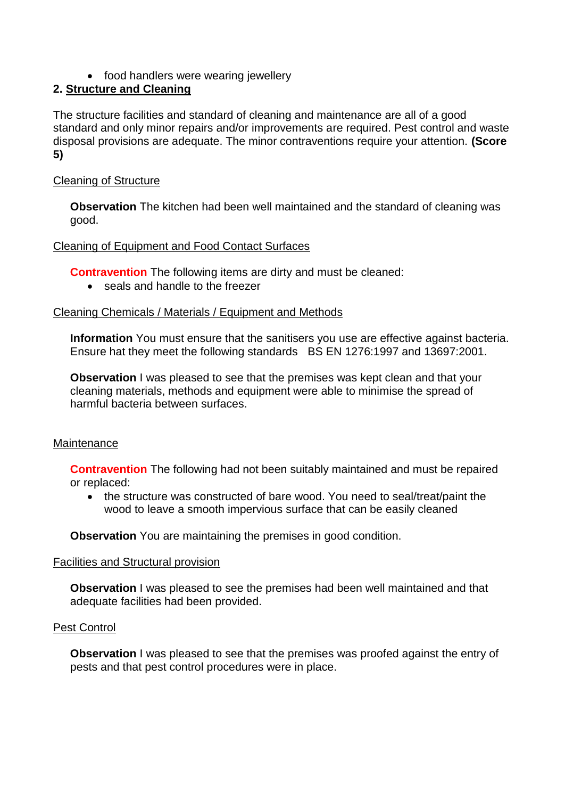• food handlers were wearing jewellery

# **2. Structure and Cleaning**

The structure facilities and standard of cleaning and maintenance are all of a good standard and only minor repairs and/or improvements are required. Pest control and waste disposal provisions are adequate. The minor contraventions require your attention. **(Score 5)**

### Cleaning of Structure

**Observation** The kitchen had been well maintained and the standard of cleaning was good.

### Cleaning of Equipment and Food Contact Surfaces

**Contravention** The following items are dirty and must be cleaned:

• seals and handle to the freezer

### Cleaning Chemicals / Materials / Equipment and Methods

**Information** You must ensure that the sanitisers you use are effective against bacteria. Ensure hat they meet the following standards BS EN 1276:1997 and 13697:2001.

**Observation** I was pleased to see that the premises was kept clean and that your cleaning materials, methods and equipment were able to minimise the spread of harmful bacteria between surfaces.

### **Maintenance**

**Contravention** The following had not been suitably maintained and must be repaired or replaced:

• the structure was constructed of bare wood. You need to seal/treat/paint the wood to leave a smooth impervious surface that can be easily cleaned

**Observation** You are maintaining the premises in good condition.

### Facilities and Structural provision

**Observation** I was pleased to see the premises had been well maintained and that adequate facilities had been provided.

### Pest Control

**Observation** I was pleased to see that the premises was proofed against the entry of pests and that pest control procedures were in place.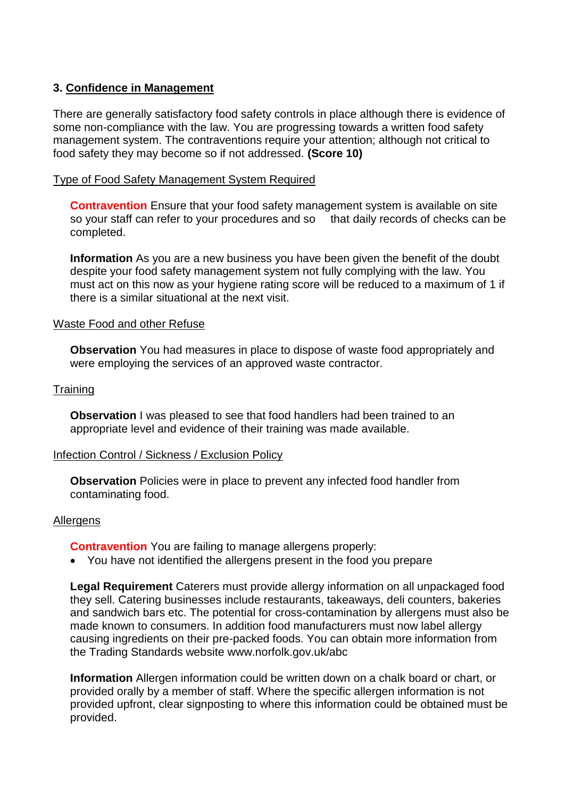### **3. Confidence in Management**

There are generally satisfactory food safety controls in place although there is evidence of some non-compliance with the law. You are progressing towards a written food safety management system. The contraventions require your attention; although not critical to food safety they may become so if not addressed. **(Score 10)**

#### Type of Food Safety Management System Required

**Contravention** Ensure that your food safety management system is available on site so your staff can refer to your procedures and so that daily records of checks can be completed.

**Information** As you are a new business you have been given the benefit of the doubt despite your food safety management system not fully complying with the law. You must act on this now as your hygiene rating score will be reduced to a maximum of 1 if there is a similar situational at the next visit.

#### Waste Food and other Refuse

**Observation** You had measures in place to dispose of waste food appropriately and were employing the services of an approved waste contractor.

#### **Training**

**Observation** I was pleased to see that food handlers had been trained to an appropriate level and evidence of their training was made available.

#### Infection Control / Sickness / Exclusion Policy

**Observation** Policies were in place to prevent any infected food handler from contaminating food.

#### Allergens

**Contravention** You are failing to manage allergens properly:

You have not identified the allergens present in the food you prepare

**Legal Requirement** Caterers must provide allergy information on all unpackaged food they sell. Catering businesses include restaurants, takeaways, deli counters, bakeries and sandwich bars etc. The potential for cross-contamination by allergens must also be made known to consumers. In addition food manufacturers must now label allergy causing ingredients on their pre-packed foods. You can obtain more information from the Trading Standards website www.norfolk.gov.uk/abc

**Information** Allergen information could be written down on a chalk board or chart, or provided orally by a member of staff. Where the specific allergen information is not provided upfront, clear signposting to where this information could be obtained must be provided.